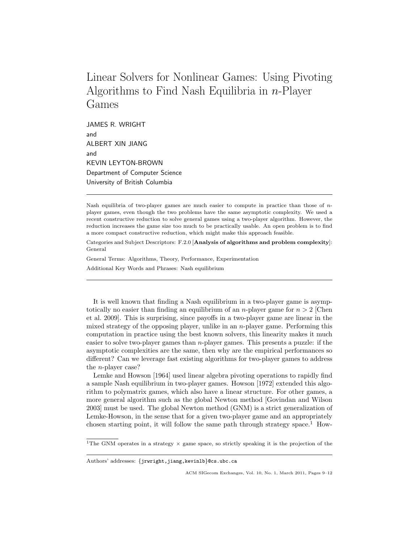# Linear Solvers for Nonlinear Games: Using Pivoting Algorithms to Find Nash Equilibria in  $n$ -Player Games

JAMES R. WRIGHT and ALBERT XIN JIANG and KEVIN LEYTON-BROWN Department of Computer Science University of British Columbia

Nash equilibria of two-player games are much easier to compute in practice than those of nplayer games, even though the two problems have the same asymptotic complexity. We used a recent constructive reduction to solve general games using a two-player algorithm. However, the reduction increases the game size too much to be practically usable. An open problem is to find a more compact constructive reduction, which might make this approach feasible.

Categories and Subject Descriptors: F.2.0 [Analysis of algorithms and problem complexity]: General

General Terms: Algorithms, Theory, Performance, Experimentation

Additional Key Words and Phrases: Nash equilibrium

It is well known that finding a Nash equilibrium in a two-player game is asymptotically no easier than finding an equilibrium of an *n*-player game for  $n > 2$  [Chen et al. 2009]. This is surprising, since payoffs in a two-player game are linear in the mixed strategy of the opposing player, unlike in an  $n$ -player game. Performing this computation in practice using the best known solvers, this linearity makes it much easier to solve two-player games than n-player games. This presents a puzzle: if the asymptotic complexities are the same, then why are the empirical performances so different? Can we leverage fast existing algorithms for two-player games to address the n-player case?

Lemke and Howson [1964] used linear algebra pivoting operations to rapidly find a sample Nash equilibrium in two-player games. Howson [1972] extended this algorithm to polymatrix games, which also have a linear structure. For other games, a more general algorithm such as the global Newton method [Govindan and Wilson 2003] must be used. The global Newton method (GNM) is a strict generalization of Lemke-Howson, in the sense that for a given two-player game and an appropriately chosen starting point, it will follow the same path through strategy space.<sup>1</sup> How-

<sup>&</sup>lt;sup>1</sup>The GNM operates in a strategy  $\times$  game space, so strictly speaking it is the projection of the

Authors' addresses: {jrwright,jiang,kevinlb}@cs.ubc.ca

ACM SIGecom Exchanges, Vol. 10, No. 1, March 2011, Pages 9–12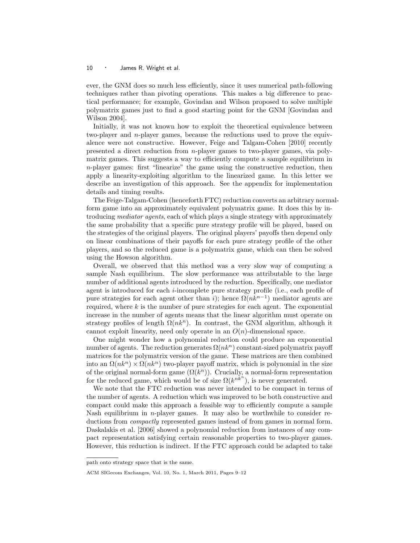## 10 · James R. Wright et al.

ever, the GNM does so much less efficiently, since it uses numerical path-following techniques rather than pivoting operations. This makes a big difference to practical performance; for example, Govindan and Wilson proposed to solve multiple polymatrix games just to find a good starting point for the GNM [Govindan and Wilson 2004].

Initially, it was not known how to exploit the theoretical equivalence between two-player and  $n$ -player games, because the reductions used to prove the equivalence were not constructive. However, Feige and Talgam-Cohen [2010] recently presented a direct reduction from n-player games to two-player games, via polymatrix games. This suggests a way to efficiently compute a sample equilibrium in  $n$ -player games: first "linearize" the game using the constructive reduction, then apply a linearity-exploiting algorithm to the linearized game. In this letter we describe an investigation of this approach. See the appendix for implementation details and timing results.

The Feige-Talgam-Cohen (henceforth FTC) reduction converts an arbitrary normalform game into an approximately equivalent polymatrix game. It does this by introducing *mediator agents*, each of which plays a single strategy with approximately the same probability that a specific pure strategy profile will be played, based on the strategies of the original players. The original players' payoffs then depend only on linear combinations of their payoffs for each pure strategy profile of the other players, and so the reduced game is a polymatrix game, which can then be solved using the Howson algorithm.

Overall, we observed that this method was a very slow way of computing a sample Nash equilibrium. The slow performance was attributable to the large number of additional agents introduced by the reduction. Specifically, one mediator agent is introduced for each i-incomplete pure strategy profile (i.e., each profile of pure strategies for each agent other than i); hence  $\Omega(nk^{n-1})$  mediator agents are required, where  $k$  is the number of pure strategies for each agent. The exponential increase in the number of agents means that the linear algorithm must operate on strategy profiles of length  $\Omega(n k^n)$ . In contrast, the GNM algorithm, although it cannot exploit linearity, need only operate in an  $O(n)$ -dimensional space.

One might wonder how a polynomial reduction could produce an exponential number of agents. The reduction generates  $\Omega(nk^n)$  constant-sized polymatrix payoff matrices for the polymatrix version of the game. These matrices are then combined into an  $\Omega(nk^n) \times \Omega(nk^n)$  two-player payoff matrix, which is polynomial in the size of the original normal-form game  $(\Omega(k^n))$ . Crucially, a normal-form representation for the reduced game, which would be of size  $\Omega(k^{nk^n})$ , is never generated.

We note that the FTC reduction was never intended to be compact in terms of the number of agents. A reduction which was improved to be both constructive and compact could make this approach a feasible way to efficiently compute a sample Nash equilibrium in n-player games. It may also be worthwhile to consider reductions from compactly represented games instead of from games in normal form. Daskalakis et al. [2006] showed a polynomial reduction from instances of any compact representation satisfying certain reasonable properties to two-player games. However, this reduction is indirect. If the FTC approach could be adapted to take

path onto strategy space that is the same.

ACM SIGecom Exchanges, Vol. 10, No. 1, March 2011, Pages 9–12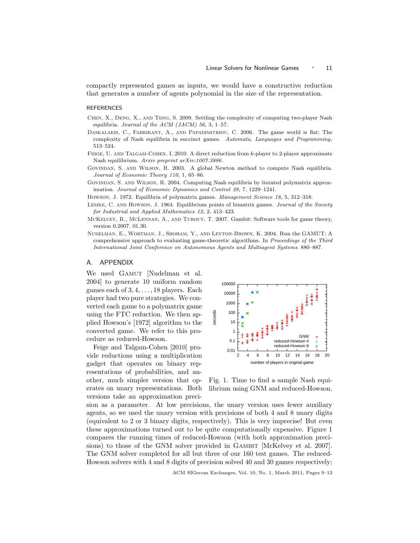compactly represented games as inputs, we would have a constructive reduction that generates a number of agents polynomial in the size of the representation.

#### REFERENCES

- Chen, X., Deng, X., and Teng, S. 2009. Settling the complexity of computing two-player Nash equilibria. Journal of the  $ACM$  (JACM) 56, 3, 1–57.
- Daskalakis, C., Fabrikant, A., and Papadimitriou, C. 2006. The game world is flat: The complexity of Nash equilibria in succinct games. Automata, Languages and Programming, 513–524.
- FEIGE, U. AND TALGAM-COHEN, I. 2010. A direct reduction from k-player to 2-player approximate Nash equilibrium. Arxiv preprint arXiv:1007.3886 .
- Govindan, S. and Wilson, R. 2003. A global Newton method to compute Nash equilibria. Journal of Economic Theory 110, 1, 65–86.
- Govindan, S. and Wilson, R. 2004. Computing Nash equilibria by iterated polymatrix approximation. Journal of Economic Dynamics and Control 28, 7, 1229–1241.
- Howson, J. 1972. Equilibria of polymatrix games. Management Science 18, 5, 312–318.
- LEMKE, C. AND HOWSON, J. 1964. Equilibrium points of bimatrix games. Journal of the Society for Industrial and Applied Mathematics 12, 2, 413–423.
- McKelvey, R., McLennan, A., and Turocy, T. 2007. Gambit: Software tools for game theory, version 0.2007. 01.30.
- Nudelman, E., Wortman, J., Shoham, Y., and Leyton-Brown, K. 2004. Run the GAMUT: A comprehensive approach to evaluating game-theoretic algorithms. In Proceedings of the Third International Joint Conference on Autonomous Agents and Multiagent Systems. 880–887.

### A. APPENDIX

We used GAMUT [Nudelman et al. 2004] to generate 10 uniform random games each of  $3, 4, \ldots, 18$  players. Each player had two pure strategies. We converted each game to a polymatrix game using the FTC reduction. We then applied Howson's [1972] algorithm to the converted game. We refer to this procedure as reduced-Howson.

Feige and Talgam-Cohen [2010] provide reductions using a multiplication gadget that operates on binary representations of probabilities, and another, much simpler version that operates on unary representations. Both versions take an approximation preci-



Fig. 1. Time to find a sample Nash equilibrium using GNM and reduced-Howson.

sion as a parameter. At low precisions, the unary version uses fewer auxiliary agents, so we used the unary version with precisions of both 4 and 8 unary digits (equivalent to 2 or 3 binary digits, respectively). This is very imprecise! But even these approximations turned out to be quite computationally expensive. Figure 1 compares the running times of reduced-Howson (with both approximation precisions) to those of the GNM solver provided in GAMBIT [McKelvey et al. 2007]. The GNM solver completed for all but three of our 160 test games. The reduced-Howson solvers with 4 and 8 digits of precision solved 40 and 30 games respectively;

ACM SIGecom Exchanges, Vol. 10, No. 1, March 2011, Pages 9–12